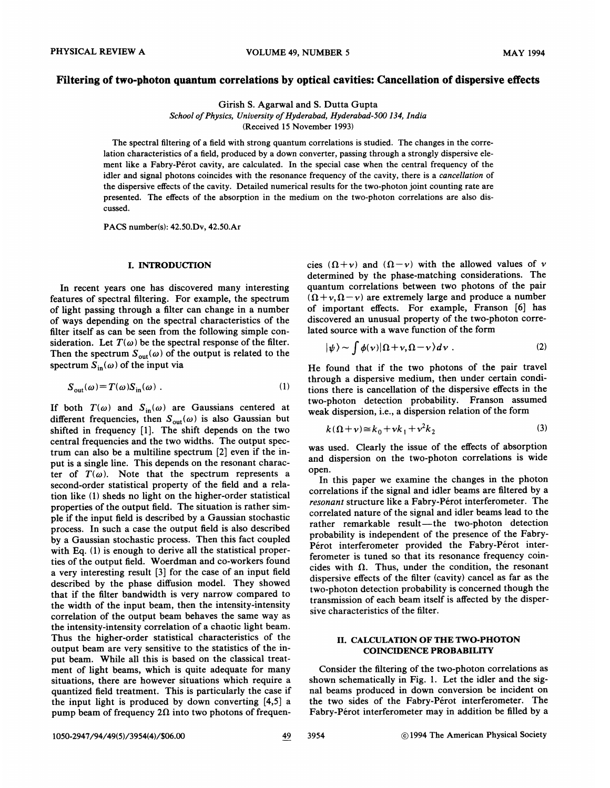## Filtering of two-photon quantum correlations by optical cavities: Cancellation of dispersive efFects

Girish S. Agarwal and S. Dutta Gupta

School of Physics, University of Hyderabad, Hyderabad-500 134, India (Received 15 November 1993)

The spectral filtering of a field with strong quantum correlations is studied. The changes in the correlation characteristics of a field, produced by a down converter, passing through a strongly dispersive element like a Fabry-Pérot cavity, are calculated. In the special case when the central frequency of the idler and signal photons coincides with the resonance frequency of the cavity, there is a cancellation of the dispersive effects of the cavity. Detailed numerical results for the two-photon joint counting rate are presented. The effects of the absorption in the medium on the two-photon correlations are also discussed.

PACS number(s): 42.50.Dv, 42.50.Ar

#### I. INTRODUCTION

In recent years one has discovered many interesting features of spectral filtering. For example, the spectrum of light passing through a filter can change in a number of ways depending on the spectral characteristics of the filter itself as can be seen from the following simple consideration. Let  $T(\omega)$  be the spectral response of the filter. Then the spectrum  $S_{\text{out}}(\omega)$  of the output is related to the spectrum  $S_{in}(\omega)$  of the input via

$$
S_{\text{out}}(\omega) = T(\omega) S_{\text{in}}(\omega) . \qquad (1)
$$

If both  $T(\omega)$  and  $S_{in}(\omega)$  are Gaussians centered at different frequencies, then  $S_{\text{out}}(\omega)$  is also Gaussian but shifted in frequency [1]. The shift depends on the two central frequencies and the two widths. The output spectrum can also be a multiline spectrum [2] even if the input is a single line. This depends on the resonant character of  $T(\omega)$ . Note that the spectrum represents a second-order statistical property of the field and a relation like (1) sheds no light on the higher-order statistical properties of the output field. The situation is rather simple if the input field is described by a Gaussian stochastic process. In such a case the output field is also described by a Gaussian stochastic process. Then this fact coupled with Eq. (1) is enough to derive all the statistical properties of the output field. Woerdman and co-workers found a very interesting result [3] for the case of an input field described by the phase diffusion model. They showed that if the filter bandwidth is very narrow compared to the width of the input beam, then the intensity-intensity correlation of the output beam behaves the same way as the intensity-intensity correlation of a chaotic light beam. Thus the higher-order statistical characteristics of the output beam are very sensitive to the statistics of the input beam. While all this is based on the classical treatment of light beams, which is quite adequate for many situations, there are however situations which require a quantized field treatment. This is particularly the case if the input light is produced by down converting [4,5] a pump beam of frequency  $2\Omega$  into two photons of frequen-

cies  $(\Omega + v)$  and  $(\Omega - v)$  with the allowed values of v determined by the phase-matching considerations. The quantum correlations between two photons of the pair  $(\Omega + \nu, \Omega - \nu)$  are extremely large and produce a number of important effects. For example, Franson [6] has discovered an unusual property of the two-photon correlated source with a wave function of the form

$$
|\psi\rangle \sim \int \phi(\nu) |\Omega + \nu, \Omega - \nu\rangle d\nu . \qquad (2)
$$

He found that if the two photons of the pair travel through a dispersive medium, then under certain conditions there is cancellation of the dispersive effects in the two-photon detection probability. Franson assumed weak dispersion, i.e., a dispersion relation of the form

$$
k(\Omega + \nu) \cong k_0 + \nu k_1 + \nu^2 k_2 \tag{3}
$$

was used. Clearly the issue of the effects of absorption and dispersion on the two-photon correlations is wide open.

In this paper we examine the changes in the photon correlations if the signal and idler beams are filtered by a resonant structure like a Fabry-Pérot interferometer. The correlated nature of the signal and idler beams lead to the rather remarkable result—the two-photon detection probability is independent of the presence of the Fabry-Pérot interferometer provided the Fabry-Pérot interferometer is tuned so that its resonance frequency coincides with  $\Omega$ . Thus, under the condition, the resonant dispersive effects of the filter (cavity) cancel as far as the two-photon detection probability is concerned though the transmission of each beam itself is affected by the dispersive characteristics of the filter.

# II. CALCULATION OF THE TWO-PHOTON COINCIDENCE PROBABILITY

Consider the filtering of the two-photon correlations as shown schematically in Fig. 1. Let the idler and the signal beams produced in down conversion be incident on the two sides of the Fabry-Pérot interferometer. The Fabry-Pérot interferometer may in addition be filled by a

1050-2947/94/49(5)/3954(4)/\$06. 00 49 3954 1994 The American Physical Society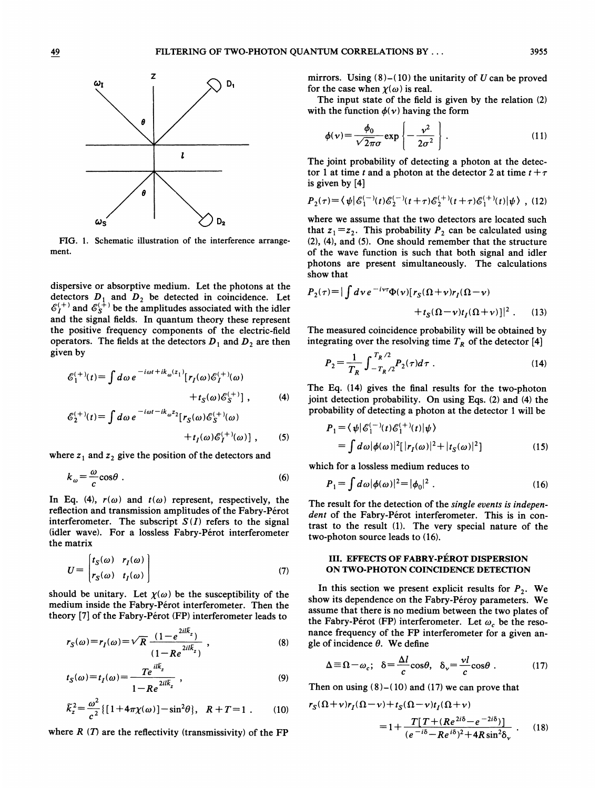

FIG. 1. Schematic illustration of the interference arrangement.

dispersive or absorptive medium. Let the photons at the detectors  $D_1$  and  $D_2$  be detected in coincidence. Let  $\mathscr{E}_I^{(+)}$  and  $\mathscr{E}_S^{(+)}$  be the amplitudes associated with the idler and the signal fields. In quantum theory these represent the positive frequency components of the electric-field operators. The fields at the detectors  $D_1$  and  $D_2$  are then given by

$$
\mathcal{E}_1^{(+)}(t) = \int d\omega \, e^{-i\omega t + ik_{\omega}(z_1)} [r_I(\omega)\mathcal{E}_I^{(+)}(\omega) + t_S(\omega)\mathcal{E}_S^{(+)}], \tag{4}
$$

$$
\mathcal{E}_2^{(+)}(t) = \int d\omega \, e^{-i\omega t - ik_{\omega}z_2} [r_S(\omega)\mathcal{E}_S^{(+)}(\omega) + t_I(\omega)\mathcal{E}_I^{(+)}(\omega)] , \qquad (5)
$$

where  $z_1$  and  $z_2$  give the position of the detectors and

$$
k_{\omega} = \frac{\omega}{c} \cos \theta \tag{6}
$$

In Eq. (4),  $r(\omega)$  and  $t(\omega)$  represent, respectively, the reflection and transmission amplitudes of the Fabry-Pérot interferometer. The subscript  $S(I)$  refers to the signal (idler wave). For a lossless Fabry-Pérot interferometer the matrix

$$
U = \begin{bmatrix} t_S(\omega) & r_I(\omega) \\ r_S(\omega) & t_I(\omega) \end{bmatrix}
$$
 (7)

should be unitary. Let  $\chi(\omega)$  be the susceptibility of the medium inside the Fabry-Pérot interferometer. Then the theory [7] of the Fabry-Pérot (FP) interferometer leads to

$$
r_{S}(\omega) = r_{I}(\omega) = \sqrt{R} \frac{(1 - e^{2il\bar{k}_{z}})}{(1 - Re^{2il\bar{k}_{z}})},
$$
\n(8)

$$
t_S(\omega) = t_I(\omega) = \frac{Te^{il\overline{k}_z}}{1 - Re^{2il\overline{k}_z}} \t{,} \t(9)
$$

$$
\tilde{k}_z^2 = \frac{\omega^2}{c^2} \{ [1 + 4\pi \chi(\omega)] - \sin^2 \theta \}, \quad R + T = 1 \ . \tag{10}
$$

where  $R(T)$  are the reflectivity (transmissivity) of the FP

mirrors. Using  $(8)$ - $(10)$  the unitarity of U can be proved for the case when  $\chi(\omega)$  is real.

The input state of the field is given by the relation (2) with the function  $\phi(\nu)$  having the form

$$
\phi(\nu) = \frac{\phi_0}{\sqrt{2\pi}\sigma} \exp\left\{-\frac{\nu^2}{2\sigma^2}\right\}.
$$
\n(11)

The joint probability of detecting a photon at the detector 1 at time t and a photon at the detector 2 at time  $t+\tau$ is given by [4]

$$
P_2(\tau) = \langle \psi | \mathcal{E}_1^{(-)}(t) \mathcal{E}_2^{(-)}(t+\tau) \mathcal{E}_2^{(+)}(t+\tau) \mathcal{E}_1^{(+)}(t) | \psi \rangle , \tag{12}
$$

where we assume that the two detectors are located such that  $z_1 = z_2$ . This probability  $P_2$  can be calculated using (2), (4), and (5). One should remember that the structure of the wave function is such that both signal and idler photons are present simultaneously. The calculations show that

$$
P_2(\tau) = |\int d\nu \, e^{-i\nu\tau} \Phi(\nu) [r_S(\Omega + \nu) r_I(\Omega - \nu) + t_S(\Omega - \nu) t_I(\Omega + \nu)]|^2.
$$
 (13)

The measured coincidence probability will be obtained by integrating over the resolving time  $T_R$  of the detector [4]

$$
P_2 = \frac{1}{T_R} \int_{-T_R/2}^{T_R/2} P_2(\tau) d\tau \tag{14}
$$

The Eq. (14) gives the final results for the two-photon joint detection probability. On using Eqs. (2} and (4) the probability of detecting a photon at the detector <sup>1</sup> will be

$$
P_1 = \langle \psi | \mathcal{E}_1^{(-)}(t) \mathcal{E}_1^{(+)}(t) | \psi \rangle
$$
  
= 
$$
\int d\omega |\phi(\omega)|^2 [ |r_I(\omega)|^2 + |t_S(\omega)|^2 ]
$$
 (15)

which for a lossless medium reduces to

(6) 
$$
P_1 = \int d\omega |\phi(\omega)|^2 = |\phi_0|^2 . \qquad (16)
$$

The result for the detection of the single events is independent of the Fabry-Pérot interferometer. This is in contrast to the result (1). The very special nature of the two-photon source leads to (16).

## III. EFFECTS OF FABRY-PÉROT DISPERSION ON TWO-PHOTON COINCIDENCE DETECTION

In this section we present explicit results for  $P_2$ . We show its dependence on the Fabry-Péroy parameters. We assume that there is no medium between the two plates of the Fabry-Pérot (FP) interferometer. Let  $\omega_c$  be the resonance frequency of the FP interferometer for a given angle of incidence  $\theta$ . We define

$$
\Delta \equiv \Omega - \omega_c; \quad \delta = \frac{\Delta l}{c} \cos \theta, \quad \delta_v = \frac{vl}{c} \cos \theta \ . \tag{17}
$$

Then on using (8)-(10) and (17) we can prove that  
\n
$$
r_S(\Omega + v)r_I(\Omega - v) + t_S(\Omega - v)t_I(\Omega + v)
$$
\n
$$
= 1 + \frac{T[T + (Re^{2i\delta} - e^{-2i\delta})]}{(e^{-i\delta} - Re^{i\delta})^2 + 4R\sin^2\delta_v}.
$$
\n(18)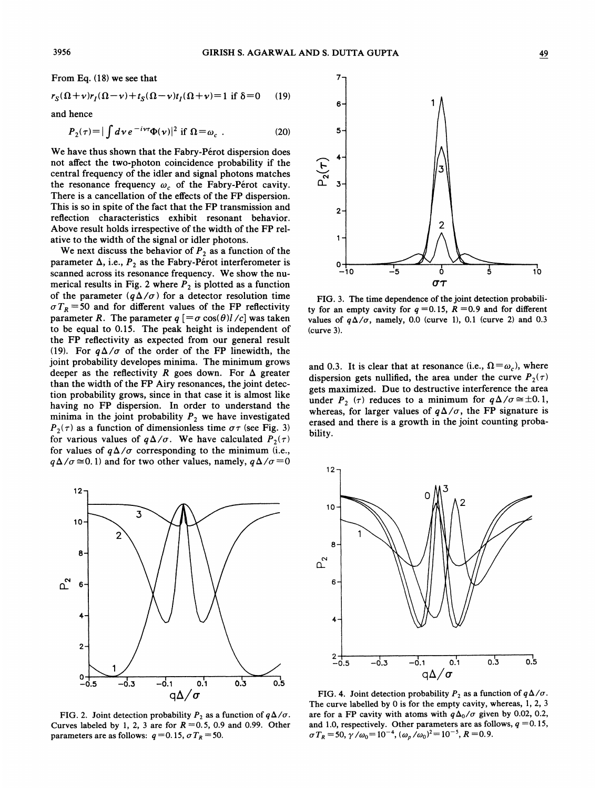From Eq. (18) we see that

$$
r_S(\Omega+\nu)r_I(\Omega-\nu)+t_S(\Omega-\nu)t_I(\Omega+\nu)=1 \text{ if } \delta=0 \qquad (19)
$$

and hence

$$
P_2(\tau) = |\int d\mathbf{v} e^{-i\nu\tau} \Phi(\mathbf{v})|^2 \text{ if } \Omega = \omega_c \tag{20}
$$

We have thus shown that the Fabry-Pérot dispersion does not affect the two-photon coincidence probability if the central frequency of the idler and signal photons matches the resonance frequency  $\omega_c$  of the Fabry-Perot cavity. There is a cancellation of the effects of the FP dispersion. This is so in spite of the fact that the FP transmission and reflection characteristics exhibit resonant behavior. Above result holds irrespective of the width of the FP relative to the width of the signal or idler photons.

We next discuss the behavior of  $P_2$  as a function of the parameter  $\Delta$ , i.e.,  $P_2$  as the Fabry-Pérot interferometer is scanned across its resonance frequency. We show the numerical results in Fig. 2 where  $P_2$  is plotted as a function of the parameter  $(q\Delta/\sigma)$  for a detector resolution time  $\sigma T_R$  =50 and for different values of the FP reflectivity parameter R. The parameter  $q$  [= $\sigma$  cos( $\theta$ )l /c] was taken to be equal to 0.15. The peak height is independent of the FP reflectivity as expected from our general result (19). For  $q\Delta/\sigma$  of the order of the FP linewidth, the joint probability developes minima. The minimum grows deeper as the reflectivity R goes down. For  $\Delta$  greater than the width of the FP Airy resonances, the joint detection probability grows, since in that case it is almost like having no FP dispersion. In order to understand the minima in the joint probability  $P_2$  we have investigated  $P_2(\tau)$  as a function of dimensionless time  $\sigma\tau$  (see Fig. 3) for various values of  $q\Delta/\sigma$ . We have calculated  $P_2(\tau)$ for values of  $q\Delta/\sigma$  corresponding to the minimum (i.e.,  $q\Delta/\sigma \approx 0.1$ ) and for two other values, namely,  $q\Delta/\sigma = 0$ 



FIG. 2. Joint detection probability  $P_2$  as a function of  $q\Delta/\sigma$ . Curves labeled by 1, 2, 3 are for  $R = 0.5$ , 0.9 and 0.99. Other parameters are as follows:  $q = 0.15$ ,  $\sigma T_R = 50$ .



FIG. 3. The time dependence of the joint detection probability for an empty cavity for  $q = 0.15$ ,  $R = 0.9$  and for different values of  $q\Delta/\sigma$ , namely, 0.0 (curve 1), 0.1 (curve 2) and 0.3 (curve 3).

and 0.3. It is clear that at resonance (i.e.,  $\Omega = \omega_c$ ), where dispersion gets nullified, the area under the curve  $P_2(\tau)$ gets maximized. Due to destructive interference the area under  $P_2$  ( $\tau$ ) reduces to a minimum for  $q\Delta/\sigma \approx \pm 0.1$ , whereas, for larger values of  $q\Delta/\sigma$ , the FP signature is erased and there is a growth in the joint counting probability.



FIG. 4. Joint detection probability  $P_2$  as a function of  $q\Delta/\sigma$ . The curve labelled by 0 is for the empty cavity, whereas, 1, 2, 3 are for a FP cavity with atoms with  $q\Delta_0/\sigma$  given by 0.02, 0.2, and 1.0, respectively. Other parameters are as follows,  $q = 0.15$ ,  $\sigma T_R = 50, \gamma/\omega_0 = 10^{-4}, (\omega_p/\omega_0)^2 = 10^{-5}, R = 0.9.$